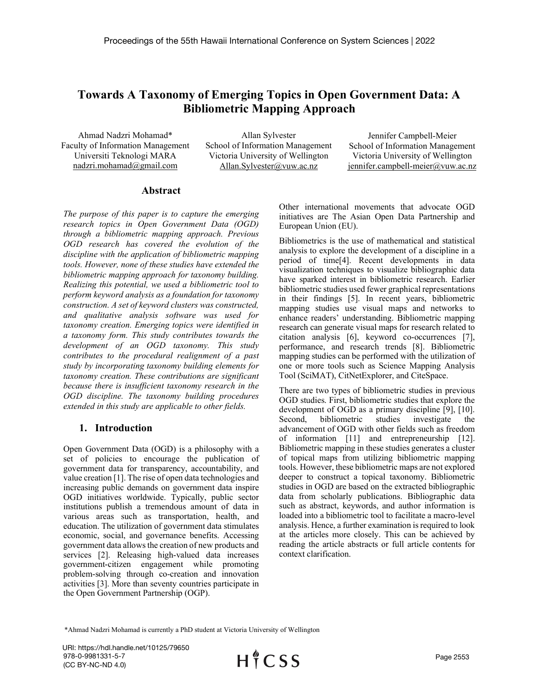# Towards A Taxonomy of Emerging Topics in Open Government Data: A Bibliometric Mapping Approach

Ahmad Nadzri Mohamad\* Faculty of Information Management Universiti Teknologi MARA nadzri.mohamad@gmail.com

Allan Sylvester School of Information Management Victoria University of Wellington Allan.Sylvester@vuw.ac.nz

Jennifer Campbell-Meier School of Information Management Victoria University of Wellington jennifer.campbell-meier@vuw.ac.nz

#### Abstract

The purpose of this paper is to capture the emerging research topics in Open Government Data (OGD) through a bibliometric mapping approach. Previous OGD research has covered the evolution of the discipline with the application of bibliometric mapping tools. However, none of these studies have extended the bibliometric mapping approach for taxonomy building. Realizing this potential, we used a bibliometric tool to perform keyword analysis as a foundation for taxonomy construction. A set of keyword clusters was constructed, and qualitative analysis software was used for taxonomy creation. Emerging topics were identified in a taxonomy form. This study contributes towards the development of an OGD taxonomy. This study contributes to the procedural realignment of a past study by incorporating taxonomy building elements for taxonomy creation. These contributions are significant because there is insufficient taxonomy research in the OGD discipline. The taxonomy building procedures extended in this study are applicable to other fields.

#### 1. Introduction

Open Government Data (OGD) is a philosophy with a set of policies to encourage the publication of government data for transparency, accountability, and value creation [1]. The rise of open data technologies and increasing public demands on government data inspire OGD initiatives worldwide. Typically, public sector institutions publish a tremendous amount of data in various areas such as transportation, health, and education. The utilization of government data stimulates economic, social, and governance benefits. Accessing government data allows the creation of new products and services [2]. Releasing high-valued data increases government-citizen engagement while promoting problem-solving through co-creation and innovation activities [3]. More than seventy countries participate in the Open Government Partnership (OGP).

Other international movements that advocate OGD initiatives are The Asian Open Data Partnership and European Union (EU).

Bibliometrics is the use of mathematical and statistical analysis to explore the development of a discipline in a period of time[4]. Recent developments in data visualization techniques to visualize bibliographic data have sparked interest in bibliometric research. Earlier bibliometric studies used fewer graphical representations in their findings [5]. In recent years, bibliometric mapping studies use visual maps and networks to enhance readers' understanding. Bibliometric mapping research can generate visual maps for research related to citation analysis [6], keyword co-occurrences [7], performance, and research trends [8]. Bibliometric mapping studies can be performed with the utilization of one or more tools such as Science Mapping Analysis Tool (SciMAT), CitNetExplorer, and CiteSpace.

There are two types of bibliometric studies in previous OGD studies. First, bibliometric studies that explore the development of OGD as a primary discipline [9], [10]. Second, bibliometric studies investigate the advancement of OGD with other fields such as freedom of information [11] and entrepreneurship [12]. Bibliometric mapping in these studies generates a cluster of topical maps from utilizing bibliometric mapping tools. However, these bibliometric maps are not explored deeper to construct a topical taxonomy. Bibliometric studies in OGD are based on the extracted bibliographic data from scholarly publications. Bibliographic data such as abstract, keywords, and author information is loaded into a bibliometric tool to facilitate a macro-level analysis. Hence, a further examination is required to look at the articles more closely. This can be achieved by reading the article abstracts or full article contents for context clarification.

\*Ahmad Nadzri Mohamad is currently a PhD student at Victoria University of Wellington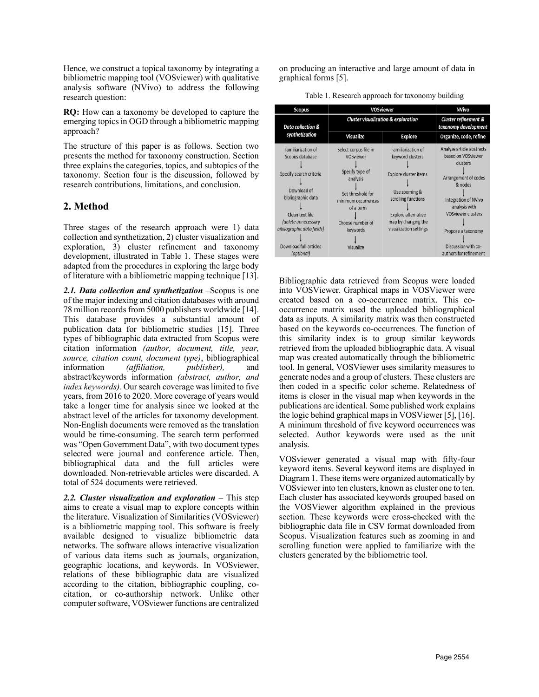Hence, we construct a topical taxonomy by integrating a bibliometric mapping tool (VOSviewer) with qualitative analysis software (NVivo) to address the following research question:

RQ: How can a taxonomy be developed to capture the emerging topics in OGD through a bibliometric mapping approach?

The structure of this paper is as follows. Section two presents the method for taxonomy construction. Section three explains the categories, topics, and subtopics of the taxonomy. Section four is the discussion, followed by research contributions, limitations, and conclusion.

# 2. Method

Three stages of the research approach were 1) data collection and synthetization, 2) cluster visualization and exploration, 3) cluster refinement and taxonomy development, illustrated in Table 1. These stages were adapted from the procedures in exploring the large body of literature with a bibliometric mapping technique [13].

2.1. Data collection and synthetization –Scopus is one of the major indexing and citation databases with around 78 million records from 5000 publishers worldwide [14]. This database provides a substantial amount of publication data for bibliometric studies [15]. Three types of bibliographic data extracted from Scopus were citation information (author, document, title, year, source, citation count, document type), bibliographical information (affiliation, publisher), and abstract/keywords information (abstract, author, and index keywords). Our search coverage was limited to five years, from 2016 to 2020. More coverage of years would take a longer time for analysis since we looked at the abstract level of the articles for taxonomy development. Non-English documents were removed as the translation would be time-consuming. The search term performed was "Open Government Data", with two document types selected were journal and conference article. Then, bibliographical data and the full articles were downloaded. Non-retrievable articles were discarded. A total of 524 documents were retrieved.

2.2. Cluster visualization and exploration  $-$  This step aims to create a visual map to explore concepts within the literature. Visualization of Similarities (VOSviewer) is a bibliometric mapping tool. This software is freely available designed to visualize bibliometric data networks. The software allows interactive visualization of various data items such as journals, organization, geographic locations, and keywords. In VOSviewer, relations of these bibliographic data are visualized according to the citation, bibliographic coupling, cocitation, or co-authorship network. Unlike other computer software, VOSviewer functions are centralized

on producing an interactive and large amount of data in graphical forms [5].

| Table 1. Research approach for taxonomy building |  |
|--------------------------------------------------|--|
|--------------------------------------------------|--|

| Scopus                                                                                                                                       | <b>VOSviewer</b>                                                                                                                                                               | <b>NVivo</b>                                                                                                                                                                           |                                                                                                                                                                                                                                                    |
|----------------------------------------------------------------------------------------------------------------------------------------------|--------------------------------------------------------------------------------------------------------------------------------------------------------------------------------|----------------------------------------------------------------------------------------------------------------------------------------------------------------------------------------|----------------------------------------------------------------------------------------------------------------------------------------------------------------------------------------------------------------------------------------------------|
| Data collection &<br>synthetization<br>Familiarization of<br>Scopus database<br>Specify search criteria<br>Download of<br>bibliographic data | <b>Cluster visualization &amp; exploration</b>                                                                                                                                 | Cluster refinement &<br>taxonomy development                                                                                                                                           |                                                                                                                                                                                                                                                    |
|                                                                                                                                              | Visualize                                                                                                                                                                      | <b>Explore</b>                                                                                                                                                                         | Organize, code, refine                                                                                                                                                                                                                             |
| Clean text file<br>(delete unnecessary<br>bibliographic data fields)<br>Download full articles<br>(optional)                                 | Select corpus file in<br>VOSviewer<br>Specify type of<br>analysis<br>Set threshold for<br>minimum occurrences<br>of a term<br>Choose number of<br>keywords<br><b>Visualize</b> | Familiarization of<br>keyword clusters<br><b>Explore cluster items</b><br>Use zooming &<br>scrolling functions<br>Explore alternative<br>map by changing the<br>visualization settings | Analyze article abstracts<br>based on VOSviewer<br>clusters<br>Arrangement of codes<br>& nodes<br><b>Integration of NVivo</b><br>analysis with<br><b>VOSviewer clusters</b><br>Propose a taxonomy<br>Discussion with co-<br>authors for refinement |

Bibliographic data retrieved from Scopus were loaded into VOSViewer. Graphical maps in VOSViewer were created based on a co-occurrence matrix. This cooccurrence matrix used the uploaded bibliographical data as inputs. A similarity matrix was then constructed based on the keywords co-occurrences. The function of this similarity index is to group similar keywords retrieved from the uploaded bibliographic data. A visual map was created automatically through the bibliometric tool. In general, VOSViewer uses similarity measures to generate nodes and a group of clusters. These clusters are then coded in a specific color scheme. Relatedness of items is closer in the visual map when keywords in the publications are identical. Some published work explains the logic behind graphical maps in VOSViewer [5], [16]. A minimum threshold of five keyword occurrences was selected. Author keywords were used as the unit analysis.

VOSviewer generated a visual map with fifty-four keyword items. Several keyword items are displayed in Diagram 1. These items were organized automatically by VOSviewer into ten clusters, known as cluster one to ten. Each cluster has associated keywords grouped based on the VOSViewer algorithm explained in the previous section. These keywords were cross-checked with the bibliographic data file in CSV format downloaded from Scopus. Visualization features such as zooming in and scrolling function were applied to familiarize with the clusters generated by the bibliometric tool.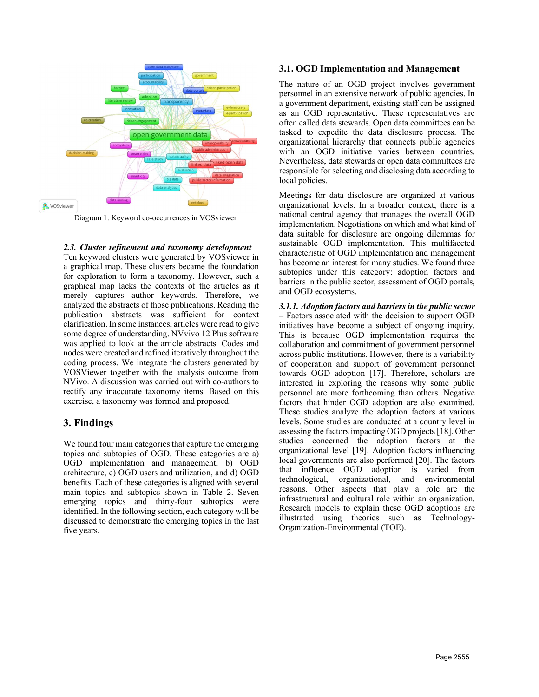

Diagram 1. Keyword co-occurrences in VOSviewer

2.3. Cluster refinement and taxonomy development – Ten keyword clusters were generated by VOSviewer in a graphical map. These clusters became the foundation for exploration to form a taxonomy. However, such a graphical map lacks the contexts of the articles as it merely captures author keywords. Therefore, we analyzed the abstracts of those publications. Reading the publication abstracts was sufficient for context clarification. In some instances, articles were read to give some degree of understanding. NVvivo 12 Plus software was applied to look at the article abstracts. Codes and nodes were created and refined iteratively throughout the coding process. We integrate the clusters generated by VOSViewer together with the analysis outcome from NVivo. A discussion was carried out with co-authors to rectify any inaccurate taxonomy items. Based on this exercise, a taxonomy was formed and proposed.

# 3. Findings

We found four main categories that capture the emerging topics and subtopics of OGD. These categories are a) OGD implementation and management, b) OGD architecture, c) OGD users and utilization, and d) OGD benefits. Each of these categories is aligned with several main topics and subtopics shown in Table 2. Seven emerging topics and thirty-four subtopics were identified. In the following section, each category will be discussed to demonstrate the emerging topics in the last five years.

#### 3.1. OGD Implementation and Management

The nature of an OGD project involves government personnel in an extensive network of public agencies. In a government department, existing staff can be assigned as an OGD representative. These representatives are often called data stewards. Open data committees can be tasked to expedite the data disclosure process. The organizational hierarchy that connects public agencies with an OGD initiative varies between countries. Nevertheless, data stewards or open data committees are responsible for selecting and disclosing data according to local policies.

Meetings for data disclosure are organized at various organizational levels. In a broader context, there is a national central agency that manages the overall OGD implementation. Negotiations on which and what kind of data suitable for disclosure are ongoing dilemmas for sustainable OGD implementation. This multifaceted characteristic of OGD implementation and management has become an interest for many studies. We found three subtopics under this category: adoption factors and barriers in the public sector, assessment of OGD portals, and OGD ecosystems.

3.1.1. Adoption factors and barriers in the public sector – Factors associated with the decision to support OGD initiatives have become a subject of ongoing inquiry. This is because OGD implementation requires the collaboration and commitment of government personnel across public institutions. However, there is a variability of cooperation and support of government personnel towards OGD adoption [17]. Therefore, scholars are interested in exploring the reasons why some public personnel are more forthcoming than others. Negative factors that hinder OGD adoption are also examined. These studies analyze the adoption factors at various levels. Some studies are conducted at a country level in assessing the factors impacting OGD projects [18]. Other studies concerned the adoption factors at the organizational level [19]. Adoption factors influencing local governments are also performed [20]. The factors that influence OGD adoption is varied from technological, organizational, and environmental reasons. Other aspects that play a role are the infrastructural and cultural role within an organization. Research models to explain these OGD adoptions are illustrated using theories such as Technology-Organization-Environmental (TOE).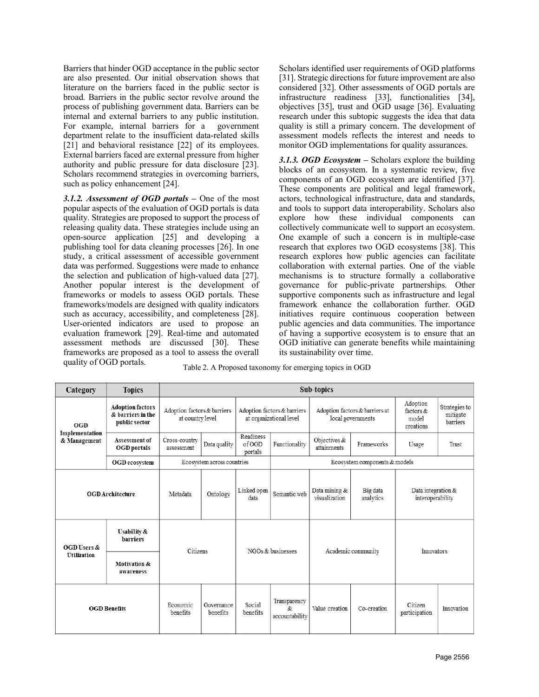Barriers that hinder OGD acceptance in the public sector are also presented. Our initial observation shows that literature on the barriers faced in the public sector is broad. Barriers in the public sector revolve around the process of publishing government data. Barriers can be internal and external barriers to any public institution. For example, internal barriers for a government department relate to the insufficient data-related skills [21] and behavioral resistance [22] of its employees. External barriers faced are external pressure from higher authority and public pressure for data disclosure [23]. Scholars recommend strategies in overcoming barriers, such as policy enhancement [24].

3.1.2. Assessment of  $OGD$  portals – One of the most popular aspects of the evaluation of OGD portals is data quality. Strategies are proposed to support the process of releasing quality data. These strategies include using an open-source application [25] and developing a publishing tool for data cleaning processes [26]. In one study, a critical assessment of accessible government data was performed. Suggestions were made to enhance the selection and publication of high-valued data [27]. Another popular interest is the development of frameworks or models to assess OGD portals. These frameworks/models are designed with quality indicators such as accuracy, accessibility, and completeness [28]. User-oriented indicators are used to propose an evaluation framework [29]. Real-time and automated assessment methods are discussed [30]. These frameworks are proposed as a tool to assess the overall quality of OGD portals.

Scholars identified user requirements of OGD platforms [31]. Strategic directions for future improvement are also considered [32]. Other assessments of OGD portals are infrastructure readiness [33], functionalities [34], objectives [35], trust and OGD usage [36]. Evaluating research under this subtopic suggests the idea that data quality is still a primary concern. The development of assessment models reflects the interest and needs to monitor OGD implementations for quality assurances.

3.1.3. OGD Ecosystem  $-$  Scholars explore the building blocks of an ecosystem. In a systematic review, five components of an OGD ecosystem are identified [37]. These components are political and legal framework, actors, technological infrastructure, data and standards, and tools to support data interoperability. Scholars also explore how these individual components can collectively communicate well to support an ecosystem. One example of such a concern is in multiple-case research that explores two OGD ecosystems [38]. This research explores how public agencies can facilitate collaboration with external parties. One of the viable mechanisms is to structure formally a collaborative governance for public-private partnerships. Other supportive components such as infrastructure and legal framework enhance the collaboration further. OGD initiatives require continuous cooperation between public agencies and data communities. The importance of having a supportive ecosystem is to ensure that an OGD initiative can generate benefits while maintaining its sustainability over time.

|  | Table 2. A Proposed taxonomy for emerging topics in OGD |  |  |
|--|---------------------------------------------------------|--|--|
|  |                                                         |  |  |

| Category                              | <b>Topics</b>                                                 | Sub-topics                                      |                        |                                |                                                               |                                                     |                       |                                                |                                       |
|---------------------------------------|---------------------------------------------------------------|-------------------------------------------------|------------------------|--------------------------------|---------------------------------------------------------------|-----------------------------------------------------|-----------------------|------------------------------------------------|---------------------------------------|
| OGD<br>Implementation<br>& Management | <b>Adoption factors</b><br>& barriers in the<br>public sector | Adoption factors & barriers<br>at country level |                        |                                | Adoption factors & barriers<br>at organizational level        | Adoption factors & barriers at<br>local governments |                       | Adoption<br>factors $\&$<br>model<br>creations | Strategies to<br>mitigate<br>barriers |
|                                       | Assessment of<br><b>OGD</b> portals                           | Cross-country<br>assessment                     | Data quality           | Readiness<br>of OGD<br>portals | Functionality                                                 | Objectives &<br>attainments                         | Frameworks            | Usage                                          | Trust                                 |
|                                       | <b>OGD</b> ecosystem                                          | Ecosystem across countries                      |                        |                                | Ecosystem components & models                                 |                                                     |                       |                                                |                                       |
| <b>OGD</b> Architecture               |                                                               | Metadata                                        | Ontology               | Linked open<br>data            | Semantic web                                                  | Data mining &<br>visualization                      | Big data<br>analytics | Data integration &<br>interoperability         |                                       |
| OGD Users &<br><b>Utilization</b>     | <b>Usability &amp;</b><br>barriers                            | Citizens                                        |                        | NGOs $&$ businesses            |                                                               | Academic community                                  |                       | Innovators                                     |                                       |
|                                       | <b>Motivation &amp;</b><br>awareness                          |                                                 |                        |                                |                                                               |                                                     |                       |                                                |                                       |
| <b>OGD Benefits</b>                   |                                                               | Economic<br>benefits                            | Governance<br>benefits | Social<br>benefits             | Transparency<br>$\mathcal{R}_{\mathcal{I}}$<br>accountability | Value creation                                      | Co-creation           | Citizen<br>participation                       | Innovation                            |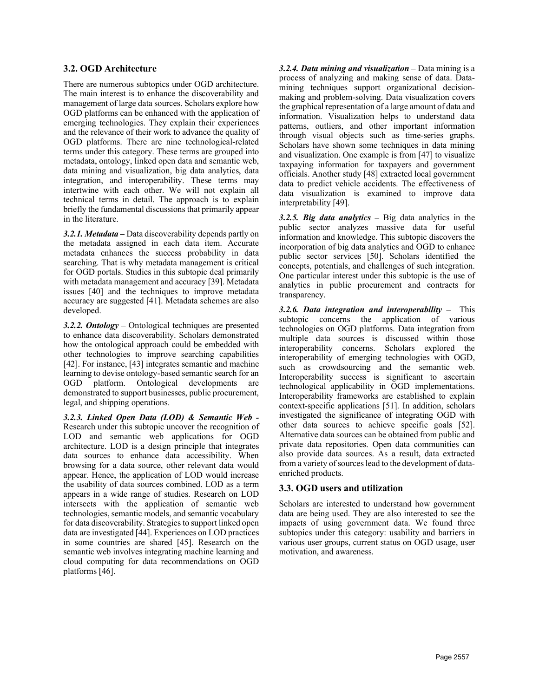#### 3.2. OGD Architecture

There are numerous subtopics under OGD architecture. The main interest is to enhance the discoverability and management of large data sources. Scholars explore how OGD platforms can be enhanced with the application of emerging technologies. They explain their experiences and the relevance of their work to advance the quality of OGD platforms. There are nine technological-related terms under this category. These terms are grouped into metadata, ontology, linked open data and semantic web, data mining and visualization, big data analytics, data integration, and interoperability. These terms may intertwine with each other. We will not explain all technical terms in detail. The approach is to explain briefly the fundamental discussions that primarily appear in the literature.

3.2.1. Metadata – Data discoverability depends partly on the metadata assigned in each data item. Accurate metadata enhances the success probability in data searching. That is why metadata management is critical for OGD portals. Studies in this subtopic deal primarily with metadata management and accuracy [39]. Metadata issues [40] and the techniques to improve metadata accuracy are suggested [41]. Metadata schemes are also developed.

3.2.2. Ontology – Ontological techniques are presented to enhance data discoverability. Scholars demonstrated how the ontological approach could be embedded with other technologies to improve searching capabilities [42]. For instance, [43] integrates semantic and machine learning to devise ontology-based semantic search for an OGD platform. Ontological developments are demonstrated to support businesses, public procurement, legal, and shipping operations.

3.2.3. Linked Open Data (LOD) & Semantic Web - Research under this subtopic uncover the recognition of LOD and semantic web applications for OGD architecture. LOD is a design principle that integrates data sources to enhance data accessibility. When browsing for a data source, other relevant data would appear. Hence, the application of LOD would increase the usability of data sources combined. LOD as a term appears in a wide range of studies. Research on LOD intersects with the application of semantic web technologies, semantic models, and semantic vocabulary for data discoverability. Strategies to support linked open data are investigated [44]. Experiences on LOD practices in some countries are shared [45]. Research on the semantic web involves integrating machine learning and cloud computing for data recommendations on OGD platforms [46].

3.2.4. Data mining and visualization  $-$  Data mining is a process of analyzing and making sense of data. Datamining techniques support organizational decisionmaking and problem-solving. Data visualization covers the graphical representation of a large amount of data and information. Visualization helps to understand data patterns, outliers, and other important information through visual objects such as time-series graphs. Scholars have shown some techniques in data mining and visualization. One example is from [47] to visualize taxpaying information for taxpayers and government officials. Another study [48] extracted local government data to predict vehicle accidents. The effectiveness of data visualization is examined to improve data interpretability [49].

3.2.5. Big data analytics – Big data analytics in the public sector analyzes massive data for useful information and knowledge. This subtopic discovers the incorporation of big data analytics and OGD to enhance public sector services [50]. Scholars identified the concepts, potentials, and challenges of such integration. One particular interest under this subtopic is the use of analytics in public procurement and contracts for transparency.

3.2.6. Data integration and interoperability  $-$  This subtopic concerns the application of various technologies on OGD platforms. Data integration from multiple data sources is discussed within those interoperability concerns. Scholars explored the interoperability of emerging technologies with OGD, such as crowdsourcing and the semantic web. Interoperability success is significant to ascertain technological applicability in OGD implementations. Interoperability frameworks are established to explain context-specific applications [51]. In addition, scholars investigated the significance of integrating OGD with other data sources to achieve specific goals [52]. Alternative data sources can be obtained from public and private data repositories. Open data communities can also provide data sources. As a result, data extracted from a variety of sources lead to the development of dataenriched products.

#### 3.3. OGD users and utilization

Scholars are interested to understand how government data are being used. They are also interested to see the impacts of using government data. We found three subtopics under this category: usability and barriers in various user groups, current status on OGD usage, user motivation, and awareness.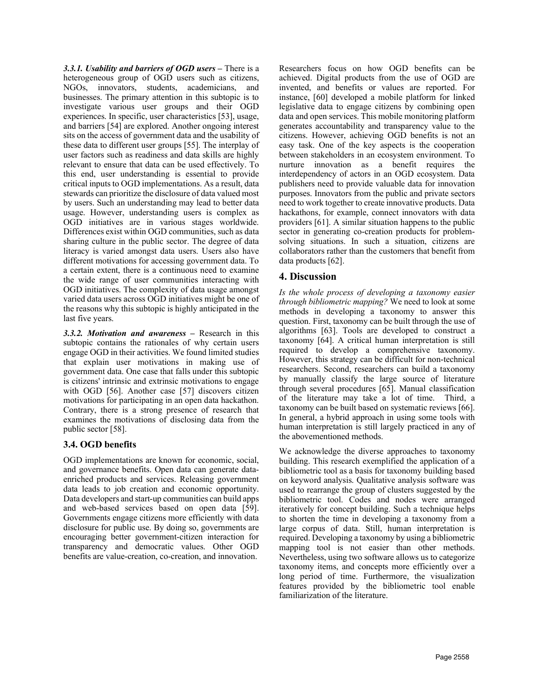3.3.1. Usability and barriers of OGD users  $-$  There is a heterogeneous group of OGD users such as citizens, NGOs, innovators, students, academicians, and businesses. The primary attention in this subtopic is to investigate various user groups and their OGD experiences. In specific, user characteristics [53], usage, and barriers [54] are explored. Another ongoing interest sits on the access of government data and the usability of these data to different user groups [55]. The interplay of user factors such as readiness and data skills are highly relevant to ensure that data can be used effectively. To this end, user understanding is essential to provide critical inputs to OGD implementations. As a result, data stewards can prioritize the disclosure of data valued most by users. Such an understanding may lead to better data usage. However, understanding users is complex as OGD initiatives are in various stages worldwide. Differences exist within OGD communities, such as data sharing culture in the public sector. The degree of data literacy is varied amongst data users. Users also have different motivations for accessing government data. To a certain extent, there is a continuous need to examine the wide range of user communities interacting with OGD initiatives. The complexity of data usage amongst varied data users across OGD initiatives might be one of the reasons why this subtopic is highly anticipated in the last five years.

3.3.2. Motivation and awareness – Research in this subtopic contains the rationales of why certain users engage OGD in their activities. We found limited studies that explain user motivations in making use of government data. One case that falls under this subtopic is citizens' intrinsic and extrinsic motivations to engage with OGD [56]. Another case [57] discovers citizen motivations for participating in an open data hackathon. Contrary, there is a strong presence of research that examines the motivations of disclosing data from the public sector [58].

#### 3.4. OGD benefits

OGD implementations are known for economic, social, and governance benefits. Open data can generate dataenriched products and services. Releasing government data leads to job creation and economic opportunity. Data developers and start-up communities can build apps and web-based services based on open data [59]. Governments engage citizens more efficiently with data disclosure for public use. By doing so, governments are encouraging better government-citizen interaction for transparency and democratic values. Other OGD benefits are value-creation, co-creation, and innovation.

Researchers focus on how OGD benefits can be achieved. Digital products from the use of OGD are invented, and benefits or values are reported. For instance, [60] developed a mobile platform for linked legislative data to engage citizens by combining open data and open services. This mobile monitoring platform generates accountability and transparency value to the citizens. However, achieving OGD benefits is not an easy task. One of the key aspects is the cooperation between stakeholders in an ecosystem environment. To nurture innovation as a benefit requires the interdependency of actors in an OGD ecosystem. Data publishers need to provide valuable data for innovation purposes. Innovators from the public and private sectors need to work together to create innovative products. Data hackathons, for example, connect innovators with data providers [61]. A similar situation happens to the public sector in generating co-creation products for problemsolving situations. In such a situation, citizens are collaborators rather than the customers that benefit from data products [62].

# 4. Discussion

Is the whole process of developing a taxonomy easier through bibliometric mapping? We need to look at some methods in developing a taxonomy to answer this question. First, taxonomy can be built through the use of algorithms [63]. Tools are developed to construct a taxonomy [64]. A critical human interpretation is still required to develop a comprehensive taxonomy. However, this strategy can be difficult for non-technical researchers. Second, researchers can build a taxonomy by manually classify the large source of literature through several procedures [65]. Manual classification of the literature may take a lot of time. Third, a taxonomy can be built based on systematic reviews [66]. In general, a hybrid approach in using some tools with human interpretation is still largely practiced in any of the abovementioned methods.

We acknowledge the diverse approaches to taxonomy building. This research exemplified the application of a bibliometric tool as a basis for taxonomy building based on keyword analysis. Qualitative analysis software was used to rearrange the group of clusters suggested by the bibliometric tool. Codes and nodes were arranged iteratively for concept building. Such a technique helps to shorten the time in developing a taxonomy from a large corpus of data. Still, human interpretation is required. Developing a taxonomy by using a bibliometric mapping tool is not easier than other methods. Nevertheless, using two software allows us to categorize taxonomy items, and concepts more efficiently over a long period of time. Furthermore, the visualization features provided by the bibliometric tool enable familiarization of the literature.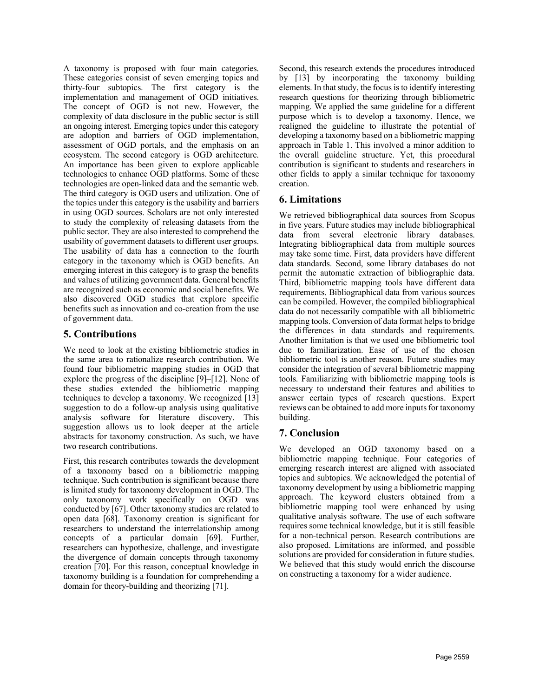A taxonomy is proposed with four main categories. These categories consist of seven emerging topics and thirty-four subtopics. The first category is the implementation and management of OGD initiatives. The concept of OGD is not new. However, the complexity of data disclosure in the public sector is still an ongoing interest. Emerging topics under this category are adoption and barriers of OGD implementation, assessment of OGD portals, and the emphasis on an ecosystem. The second category is OGD architecture. An importance has been given to explore applicable technologies to enhance OGD platforms. Some of these technologies are open-linked data and the semantic web. The third category is OGD users and utilization. One of the topics under this category is the usability and barriers in using OGD sources. Scholars are not only interested to study the complexity of releasing datasets from the public sector. They are also interested to comprehend the usability of government datasets to different user groups. The usability of data has a connection to the fourth category in the taxonomy which is OGD benefits. An emerging interest in this category is to grasp the benefits and values of utilizing government data. General benefits are recognized such as economic and social benefits. We also discovered OGD studies that explore specific benefits such as innovation and co-creation from the use of government data.

# 5. Contributions

We need to look at the existing bibliometric studies in the same area to rationalize research contribution. We found four bibliometric mapping studies in OGD that explore the progress of the discipline [9]–[12]. None of these studies extended the bibliometric mapping techniques to develop a taxonomy. We recognized [13] suggestion to do a follow-up analysis using qualitative analysis software for literature discovery. This suggestion allows us to look deeper at the article abstracts for taxonomy construction. As such, we have two research contributions.

First, this research contributes towards the development of a taxonomy based on a bibliometric mapping technique. Such contribution is significant because there is limited study for taxonomy development in OGD. The only taxonomy work specifically on OGD was conducted by [67]. Other taxonomy studies are related to open data [68]. Taxonomy creation is significant for researchers to understand the interrelationship among concepts of a particular domain [69]. Further, researchers can hypothesize, challenge, and investigate the divergence of domain concepts through taxonomy creation [70]. For this reason, conceptual knowledge in taxonomy building is a foundation for comprehending a domain for theory-building and theorizing [71].

Second, this research extends the procedures introduced by [13] by incorporating the taxonomy building elements. In that study, the focus is to identify interesting research questions for theorizing through bibliometric mapping. We applied the same guideline for a different purpose which is to develop a taxonomy. Hence, we realigned the guideline to illustrate the potential of developing a taxonomy based on a bibliometric mapping approach in Table 1. This involved a minor addition to the overall guideline structure. Yet, this procedural contribution is significant to students and researchers in other fields to apply a similar technique for taxonomy creation.

# 6. Limitations

We retrieved bibliographical data sources from Scopus in five years. Future studies may include bibliographical data from several electronic library databases. Integrating bibliographical data from multiple sources may take some time. First, data providers have different data standards. Second, some library databases do not permit the automatic extraction of bibliographic data. Third, bibliometric mapping tools have different data requirements. Bibliographical data from various sources can be compiled. However, the compiled bibliographical data do not necessarily compatible with all bibliometric mapping tools. Conversion of data format helps to bridge the differences in data standards and requirements. Another limitation is that we used one bibliometric tool due to familiarization. Ease of use of the chosen bibliometric tool is another reason. Future studies may consider the integration of several bibliometric mapping tools. Familiarizing with bibliometric mapping tools is necessary to understand their features and abilities to answer certain types of research questions. Expert reviews can be obtained to add more inputs for taxonomy building.

# 7. Conclusion

We developed an OGD taxonomy based on a bibliometric mapping technique. Four categories of emerging research interest are aligned with associated topics and subtopics. We acknowledged the potential of taxonomy development by using a bibliometric mapping approach. The keyword clusters obtained from a bibliometric mapping tool were enhanced by using qualitative analysis software. The use of each software requires some technical knowledge, but it is still feasible for a non-technical person. Research contributions are also proposed. Limitations are informed, and possible solutions are provided for consideration in future studies. We believed that this study would enrich the discourse on constructing a taxonomy for a wider audience.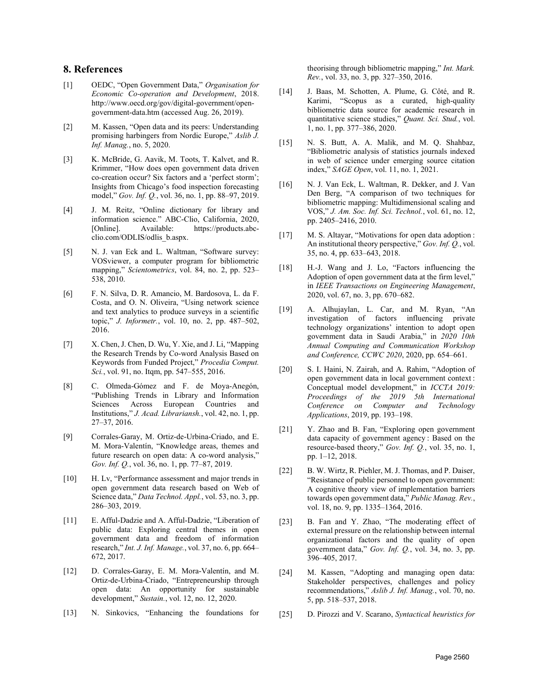#### 8. References

- [1] OEDC, "Open Government Data," Organisation for Economic Co-operation and Development, 2018. http://www.oecd.org/gov/digital-government/opengovernment-data.htm (accessed Aug. 26, 2019).
- [2] M. Kassen, "Open data and its peers: Understanding promising harbingers from Nordic Europe," Aslib J. Inf. Manag., no. 5, 2020.
- [3] K. McBride, G. Aavik, M. Toots, T. Kalvet, and R. Krimmer, "How does open government data driven co-creation occur? Six factors and a 'perfect storm'; Insights from Chicago's food inspection forecasting model," Gov. Inf. Q., vol. 36, no. 1, pp. 88–97, 2019.
- [4] J. M. Reitz, "Online dictionary for library and information science." ABC-Clio, California, 2020, [Online]. Available: https://products.abcclio.com/ODLIS/odlis\_b.aspx.
- [5] N. J. van Eck and L. Waltman, "Software survey: VOSviewer, a computer program for bibliometric mapping," Scientometrics, vol. 84, no. 2, pp. 523-538, 2010.
- [6] F. N. Silva, D. R. Amancio, M. Bardosova, L. da F. Costa, and O. N. Oliveira, "Using network science and text analytics to produce surveys in a scientific topic," J. Informetr., vol. 10, no. 2, pp. 487–502, 2016.
- [7] X. Chen, J. Chen, D. Wu, Y. Xie, and J. Li, "Mapping the Research Trends by Co-word Analysis Based on Keywords from Funded Project," Procedia Comput. Sci., vol. 91, no. Itqm, pp. 547-555, 2016.
- [8] C. Olmeda-Gómez and F. de Moya-Anegón, "Publishing Trends in Library and Information Sciences Across European Countries and Institutions," J. Acad. Librariansh., vol. 42, no. 1, pp. 27–37, 2016.
- [9] Corrales-Garay, M. Ortiz-de-Urbina-Criado, and E. M. Mora-Valentín, "Knowledge areas, themes and future research on open data: A co-word analysis," Gov. Inf. Q., vol. 36, no. 1, pp. 77-87, 2019.
- [10] H. Lv, "Performance assessment and major trends in open government data research based on Web of Science data," Data Technol. Appl., vol. 53, no. 3, pp. 286–303, 2019.
- [11] E. Afful-Dadzie and A. Afful-Dadzie, "Liberation of public data: Exploring central themes in open government data and freedom of information research," Int. J. Inf. Manage., vol. 37, no. 6, pp. 664– 672, 2017.
- [12] D. Corrales-Garay, E. M. Mora-Valentín, and M. Ortiz-de-Urbina-Criado, "Entrepreneurship through open data: An opportunity for sustainable development," Sustain., vol. 12, no. 12, 2020.
- [13] N. Sinkovics, "Enhancing the foundations for

theorising through bibliometric mapping," Int. Mark. Rev., vol. 33, no. 3, pp. 327–350, 2016.

- [14] J. Baas, M. Schotten, A. Plume, G. Côté, and R. Karimi, "Scopus as a curated, high-quality bibliometric data source for academic research in quantitative science studies," Quant. Sci. Stud., vol. 1, no. 1, pp. 377–386, 2020.
- [15] N. S. Butt, A. A. Malik, and M. Q. Shahbaz, "Bibliometric analysis of statistics journals indexed in web of science under emerging source citation index," SAGE Open, vol. 11, no. 1, 2021.
- [16] N. J. Van Eck, L. Waltman, R. Dekker, and J. Van Den Berg, "A comparison of two techniques for bibliometric mapping: Multidimensional scaling and VOS," J. Am. Soc. Inf. Sci. Technol., vol. 61, no. 12, pp. 2405–2416, 2010.
- [17] M. S. Altayar, "Motivations for open data adoption : An institutional theory perspective," Gov. Inf.  $Q_1$ , vol. 35, no. 4, pp. 633–643, 2018.
- [18] H.-J. Wang and J. Lo, "Factors influencing the Adoption of open government data at the firm level," in IEEE Transactions on Engineering Management, 2020, vol. 67, no. 3, pp. 670–682.
- [19] A. Alhujaylan, L. Car, and M. Ryan, "An investigation of factors influencing private technology organizations' intention to adopt open government data in Saudi Arabia," in 2020 10th Annual Computing and Communication Workshop and Conference, CCWC 2020, 2020, pp. 654–661.
- [20] S. I. Haini, N. Zairah, and A. Rahim, "Adoption of open government data in local government context : Conceptual model development," in ICCTA 2019: Proceedings of the 2019 5th International Conference on Computer and Technology Applications, 2019, pp. 193–198.
- [21] Y. Zhao and B. Fan, "Exploring open government data capacity of government agency : Based on the resource-based theory," Gov. Inf. Q., vol. 35, no. 1, pp. 1–12, 2018.
- [22] B. W. Wirtz, R. Piehler, M. J. Thomas, and P. Daiser, "Resistance of public personnel to open government: A cognitive theory view of implementation barriers towards open government data," Public Manag. Rev., vol. 18, no. 9, pp. 1335–1364, 2016.
- [23] B. Fan and Y. Zhao, "The moderating effect of external pressure on the relationship between internal organizational factors and the quality of open government data," Gov. Inf. Q., vol. 34, no. 3, pp. 396–405, 2017.
- [24] M. Kassen, "Adopting and managing open data: Stakeholder perspectives, challenges and policy recommendations," Aslib J. Inf. Manag., vol. 70, no. 5, pp. 518–537, 2018.
- [25] D. Pirozzi and V. Scarano, Syntactical heuristics for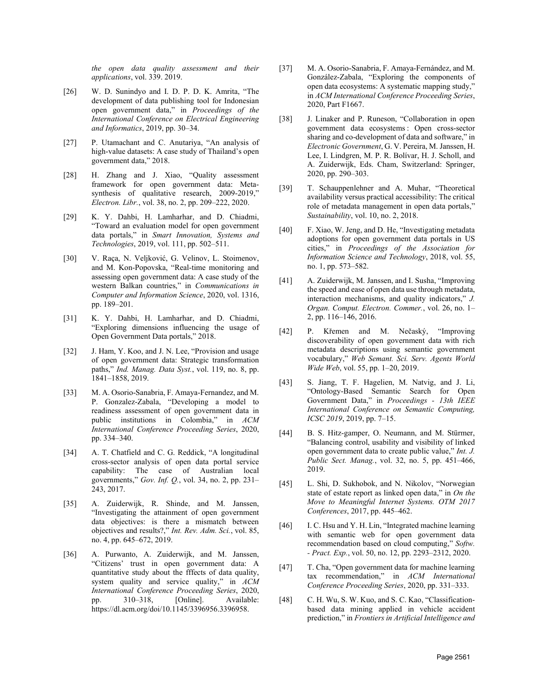the open data quality assessment and their applications, vol. 339. 2019.

- [26] W. D. Sunindyo and I. D. P. D. K. Amrita, "The development of data publishing tool for Indonesian open government data," in Proceedings of the International Conference on Electrical Engineering and Informatics, 2019, pp. 30–34.
- [27] P. Utamachant and C. Anutariya, "An analysis of high-value datasets: A case study of Thailand's open government data," 2018.
- [28] H. Zhang and J. Xiao, "Quality assessment framework for open government data: Metasynthesis of qualitative research, 2009-2019," Electron. Libr., vol. 38, no. 2, pp. 209–222, 2020.
- [29] K. Y. Dahbi, H. Lamharhar, and D. Chiadmi, "Toward an evaluation model for open government data portals," in Smart Innovation, Systems and Technologies, 2019, vol. 111, pp. 502–511.
- [30] V. Raça, N. Veljković, G. Velinov, L. Stoimenov, and M. Kon-Popovska, "Real-time monitoring and assessing open government data: A case study of the western Balkan countries," in Communications in Computer and Information Science, 2020, vol. 1316, pp. 189–201.
- [31] K. Y. Dahbi, H. Lamharhar, and D. Chiadmi, "Exploring dimensions influencing the usage of Open Government Data portals," 2018.
- [32] J. Ham, Y. Koo, and J. N. Lee, "Provision and usage of open government data: Strategic transformation paths," *Ind. Manag. Data Syst.*, vol. 119, no. 8, pp. 1841–1858, 2019.
- [33] M. A. Osorio-Sanabria, F. Amaya-Fernandez, and M. P. Gonzalez-Zabala, "Developing a model to readiness assessment of open government data in public institutions in Colombia," in ACM International Conference Proceeding Series, 2020, pp. 334–340.
- [34] A. T. Chatfield and C. G. Reddick, "A longitudinal cross-sector analysis of open data portal service capability: The case of Australian local governments," Gov. Inf. Q., vol. 34, no. 2, pp. 231– 243, 2017.
- [35] A. Zuiderwijk, R. Shinde, and M. Janssen, "Investigating the attainment of open government data objectives: is there a mismatch between objectives and results?," Int. Rev. Adm. Sci., vol. 85, no. 4, pp. 645–672, 2019.
- [36] A. Purwanto, A. Zuiderwijk, and M. Janssen, "Citizens' trust in open government data: A quantitative study about the fffects of data quality, system quality and service quality," in ACM International Conference Proceeding Series, 2020, pp. 310–318, [Online]. Available: https://dl.acm.org/doi/10.1145/3396956.3396958.
- [37] M. A. Osorio-Sanabria, F. Amaya-Fernández, and M. González-Zabala, "Exploring the components of open data ecosystems: A systematic mapping study," in ACM International Conference Proceeding Series, 2020, Part F1667.
- [38] J. Linaker and P. Runeson, "Collaboration in open government data ecosystems : Open cross-sector sharing and co-development of data and software," in Electronic Government, G. V. Pereira, M. Janssen, H. Lee, I. Lindgren, M. P. R. Bolívar, H. J. Scholl, and A. Zuiderwijk, Eds. Cham, Switzerland: Springer, 2020, pp. 290–303.
- [39] T. Schauppenlehner and A. Muhar, "Theoretical availability versus practical accessibility: The critical role of metadata management in open data portals," Sustainability, vol. 10, no. 2, 2018.
- [40] F. Xiao, W. Jeng, and D. He, "Investigating metadata adoptions for open government data portals in US cities," in Proceedings of the Association for Information Science and Technology, 2018, vol. 55, no. 1, pp. 573–582.
- [41] A. Zuiderwijk, M. Janssen, and I. Susha, "Improving the speed and ease of open data use through metadata, interaction mechanisms, and quality indicators," J. Organ. Comput. Electron. Commer., vol. 26, no. 1– 2, pp. 116–146, 2016.
- [42] P. Křemen and M. Nečaský, "Improving discoverability of open government data with rich metadata descriptions using semantic government vocabulary," Web Semant. Sci. Serv. Agents World Wide Web, vol. 55, pp. 1–20, 2019.
- [43] S. Jiang, T. F. Hagelien, M. Natvig, and J. Li, "Ontology-Based Semantic Search for Open Government Data," in Proceedings - 13th IEEE International Conference on Semantic Computing, ICSC 2019, 2019, pp. 7–15.
- [44] B. S. Hitz-gamper, O. Neumann, and M. Stürmer, "Balancing control, usability and visibility of linked open government data to create public value," Int. J. Public Sect. Manag., vol. 32, no. 5, pp. 451–466, 2019.
- [45] L. Shi, D. Sukhobok, and N. Nikolov, "Norwegian state of estate report as linked open data," in On the Move to Meaningful Internet Systems. OTM 2017 Conferences, 2017, pp. 445–462.
- [46] I. C. Hsu and Y. H. Lin, "Integrated machine learning with semantic web for open government data recommendation based on cloud computing," Softw. - Pract. Exp., vol. 50, no. 12, pp. 2293–2312, 2020.
- [47] T. Cha, "Open government data for machine learning tax recommendation," in ACM International Conference Proceeding Series, 2020, pp. 331–333.
- [48] C. H. Wu, S. W. Kuo, and S. C. Kao, "Classificationbased data mining applied in vehicle accident prediction," in Frontiers in Artificial Intelligence and